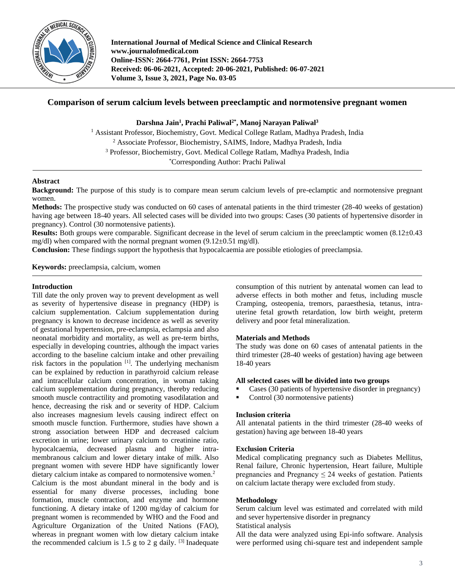

**International Journal of Medical Science and Clinical Research www.journalofmedical.com Online-ISSN: 2664-7761, Print ISSN: 2664-7753 Received: 06-06-2021, Accepted: 20-06-2021, Published: 06-07-2021 Volume 3, Issue 3, 2021, Page No. 03-05**

# **Comparison of serum calcium levels between preeclamptic and normotensive pregnant women**

**Darshna Jain<sup>1</sup> , Prachi Paliwal2\* , Manoj Narayan Paliwal<sup>3</sup>**

<sup>1</sup> Assistant Professor, Biochemistry, Govt. Medical College Ratlam, Madhya Pradesh, India <sup>2</sup> Associate Professor, Biochemistry, SAIMS, Indore, Madhya Pradesh, India <sup>3</sup> Professor, Biochemistry, Govt. Medical College Ratlam, Madhya Pradesh, India \*Corresponding Author: Prachi Paliwal

## **Abstract**

**Background:** The purpose of this study is to compare mean serum calcium levels of pre-eclamptic and normotensive pregnant women.

**Methods:** The prospective study was conducted on 60 cases of antenatal patients in the third trimester (28-40 weeks of gestation) having age between 18-40 years. All selected cases will be divided into two groups: Cases (30 patients of hypertensive disorder in pregnancy). Control (30 normotensive patients).

**Results:** Both groups were comparable. Significant decrease in the level of serum calcium in the preeclamptic women (8.12±0.43) mg/dl) when compared with the normal pregnant women  $(9.12\pm0.51 \text{ mg/dl})$ .

**Conclusion:** These findings support the hypothesis that hypocalcaemia are possible etiologies of preeclampsia.

**Keywords:** preeclampsia, calcium, women

## **Introduction**

Till date the only proven way to prevent development as well as severity of hypertensive disease in pregnancy (HDP) is calcium supplementation. Calcium supplementation during pregnancy is known to decrease incidence as well as severity of gestational hypertension, pre-eclampsia, eclampsia and also neonatal morbidity and mortality, as well as pre-term births, especially in developing countries, although the impact varies according to the baseline calcium intake and other prevailing risk factors in the population  $[1]$ . The underlying mechanism can be explained by reduction in parathyroid calcium release and intracellular calcium concentration, in woman taking calcium supplementation during pregnancy, thereby reducing smooth muscle contractility and promoting vasodilatation and hence, decreasing the risk and or severity of HDP. Calcium also increases magnesium levels causing indirect effect on smooth muscle function. Furthermore, studies have shown a strong association between HDP and decreased calcium excretion in urine; lower urinary calcium to creatinine ratio, hypocalcaemia, decreased plasma and higher intramembranous calcium and lower dietary intake of milk. Also pregnant women with severe HDP have significantly lower dietary calcium intake as compared to normotensive women.<sup>2</sup> Calcium is the most abundant mineral in the body and is essential for many diverse processes, including bone formation, muscle contraction, and enzyme and hormone functioning. A dietary intake of 1200 mg/day of calcium for pregnant women is recommended by WHO and the Food and Agriculture Organization of the United Nations (FAO), whereas in pregnant women with low dietary calcium intake the recommended calcium is 1.5 g to 2 g daily.  $[3]$  Inadequate

consumption of this nutrient by antenatal women can lead to adverse effects in both mother and fetus, including muscle Cramping, osteopenia, tremors, paraesthesia, tetanus, intrauterine fetal growth retardation, low birth weight, preterm delivery and poor fetal mineralization.

## **Materials and Methods**

The study was done on 60 cases of antenatal patients in the third trimester (28-40 weeks of gestation) having age between 18-40 years

# **All selected cases will be divided into two groups**

- Cases (30 patients of hypertensive disorder in pregnancy)
- Control (30 normotensive patients)

## **Inclusion criteria**

All antenatal patients in the third trimester (28-40 weeks of gestation) having age between 18-40 years

### **Exclusion Criteria**

Medical complicating pregnancy such as Diabetes Mellitus, Renal failure, Chronic hypertension, Heart failure, Multiple pregnancies and Pregnancy  $\leq 24$  weeks of gestation. Patients on calcium lactate therapy were excluded from study.

## **Methodology**

Serum calcium level was estimated and correlated with mild and sever hypertensive disorder in pregnancy

Statistical analysis

All the data were analyzed using Epi-info software. Analysis were performed using chi-square test and independent sample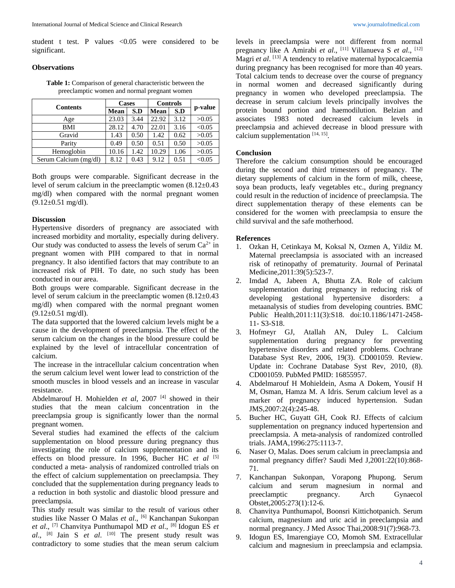student t test. P values <0.05 were considered to be significant.

### **Observations**

**Table 1:** Comparison of general characteristic between the preeclamptic women and normal pregnant women

| <b>Contents</b>       | <b>Cases</b> |      | <b>Controls</b> |      | p-value |
|-----------------------|--------------|------|-----------------|------|---------|
|                       | Mean         | S.D  | Mean            | S.D  |         |
| Age                   | 23.03        | 3.44 | 22.92           | 3.12 | >0.05   |
| <b>BMI</b>            | 28.12        | 4.70 | 22.01           | 3.16 | < 0.05  |
| Gravid                | 1.43         | 0.50 | 1.42            | 0.62 | >0.05   |
| Parity                | 0.49         | 0.50 | 0.51            | 0.50 | >0.05   |
| Hemoglobin            | 10.16        | 1.42 | 10.29           | 1.06 | >0.05   |
| Serum Calcium (mg/dl) | 8.12         | 0.43 | 9.12            | 0.51 | < 0.05  |

Both groups were comparable. Significant decrease in the level of serum calcium in the preeclamptic women (8.12±0.43 mg/dl) when compared with the normal pregnant women  $(9.12\pm0.51 \text{ mg/dl}).$ 

## **Discussion**

Hypertensive disorders of pregnancy are associated with increased morbidity and mortality, especially during delivery. Our study was conducted to assess the levels of serum  $Ca^{2+}$  in pregnant women with PIH compared to that in normal pregnancy. It also identified factors that may contribute to an increased risk of PIH. To date, no such study has been conducted in our area.

Both groups were comparable. Significant decrease in the level of serum calcium in the preeclamptic women  $(8.12\pm0.43)$ mg/dl) when compared with the normal pregnant women  $(9.12\pm0.51 \text{ mg/dl}).$ 

The data supported that the lowered calcium levels might be a cause in the development of preeclampsia. The effect of the serum calcium on the changes in the blood pressure could be explained by the level of intracellular concentration of calcium.

The increase in the intracellular calcium concentration when the serum calcium level went lower lead to constriction of the smooth muscles in blood vessels and an increase in vascular resistance.

Abdelmarouf H. Mohielden et al, 2007<sup>[4]</sup> showed in their studies that the mean calcium concentration in the preeclampsia group is significantly lower than the normal pregnant women.

Several studies had examined the effects of the calcium supplementation on blood pressure during pregnancy thus investigating the role of calcium supplementation and its effects on blood pressure. In 1996, Bucher HC *et al* [5] conducted a meta- analysis of randomized controlled trials on the effect of calcium supplementation on preeclampsia. They concluded that the supplementation during pregnancy leads to a reduction in both systolic and diastolic blood pressure and preeclampsia.

This study result was similar to the result of various other studies like Nasser O Malas *et al*., [6] Kanchanpan Sukonpan *et al*., [7] Chanvitya Punthumapol MD *et al*., [8] Idogun ES *et al*., [8] Jain S *et al*. [10] The present study result was contradictory to some studies that the mean serum calcium

levels in preeclampsia were not different from normal pregnancy like A Amirabi *et al*., [11] Villanueva S *et al*., [12] Magri *et al*. [13] A tendency to relative maternal hypocalcaemia during pregnancy has been recognised for more than 40 years. Total calcium tends to decrease over the course of pregnancy in normal women and decreased significantly during pregnancy in women who developed preeclampsia. The decrease in serum calcium levels principally involves the protein bound portion and haemodilution. Belzian and associates 1983 noted decreased calcium levels in preeclampsia and achieved decrease in blood pressure with calcium supplementation  $[14, 15]$ .

#### **Conclusion**

Therefore the calcium consumption should be encouraged during the second and third trimesters of pregnancy. The dietary supplements of calcium in the form of milk, cheese, soya bean products, leafy vegetables etc., during pregnancy could result in the reduction of incidence of preeclampsia. The direct supplementation therapy of these elements can be considered for the women with preeclampsia to ensure the child survival and the safe motherhood.

#### **References**

- 1. Ozkan H, Cetinkaya M, Koksal N, Ozmen A, Yildiz M. Maternal preeclampsia is associated with an increased risk of retinopathy of prematurity. Journal of Perinatal Medicine,2011:39(5):523-7.
- 2. Imdad A, Jabeen A, Bhutta ZA. Role of calcium supplementation during pregnancy in reducing risk of developing gestational hypertensive disorders: a metaanalysis of studies from developing countries. BMC Public Health,2011:11(3):S18. doi:10.1186/1471-2458- 11- S3-S18.
- 3. Hofmeyr GJ, Atallah AN, Duley L. Calcium supplementation during pregnancy for preventing hypertensive disorders and related problems. Cochrane Database Syst Rev, 2006, 19(3). CD001059. Review. Update in: Cochrane Database Syst Rev, 2010, (8). CD001059. PubMed PMID: 16855957.
- 4. Abdelmarouf H Mohieldein, Asma A Dokem, Yousif H M, Osman, Hamza M. A Idris. Serum calcium level as a marker of pregnancy induced hypertension. Sudan JMS,2007:2(4):245-48.
- 5. Bucher HC, Guyatt GH, Cook RJ. Effects of calcium supplementation on pregnancy induced hypertension and preeclampsia. A meta-analysis of randomized controlled trials. JAMA,1996:275:1113-7.
- 6. Naser O, Malas. Does serum calcium in preeclampsia and normal pregnancy differ? Saudi Med J,2001:22(10):868- 71.
- 7. Kanchanpan Sukonpan, Vorapong Phupong. Serum calcium and serum magnesium in normal and preeclamptic pregnancy. Arch Gynaecol Obstet,2005:273(1):12-6.
- 8. Chanvitya Punthumapol, Boonsri Kittichotpanich. Serum calcium, magnesium and uric acid in preeclampsia and normal pregnancy. J Med Assoc Thai,2008:91(7):968-73.
- 9. Idogun ES, Imarengiaye CO, Momoh SM. Extracellular calcium and magnesium in preeclampsia and eclampsia.